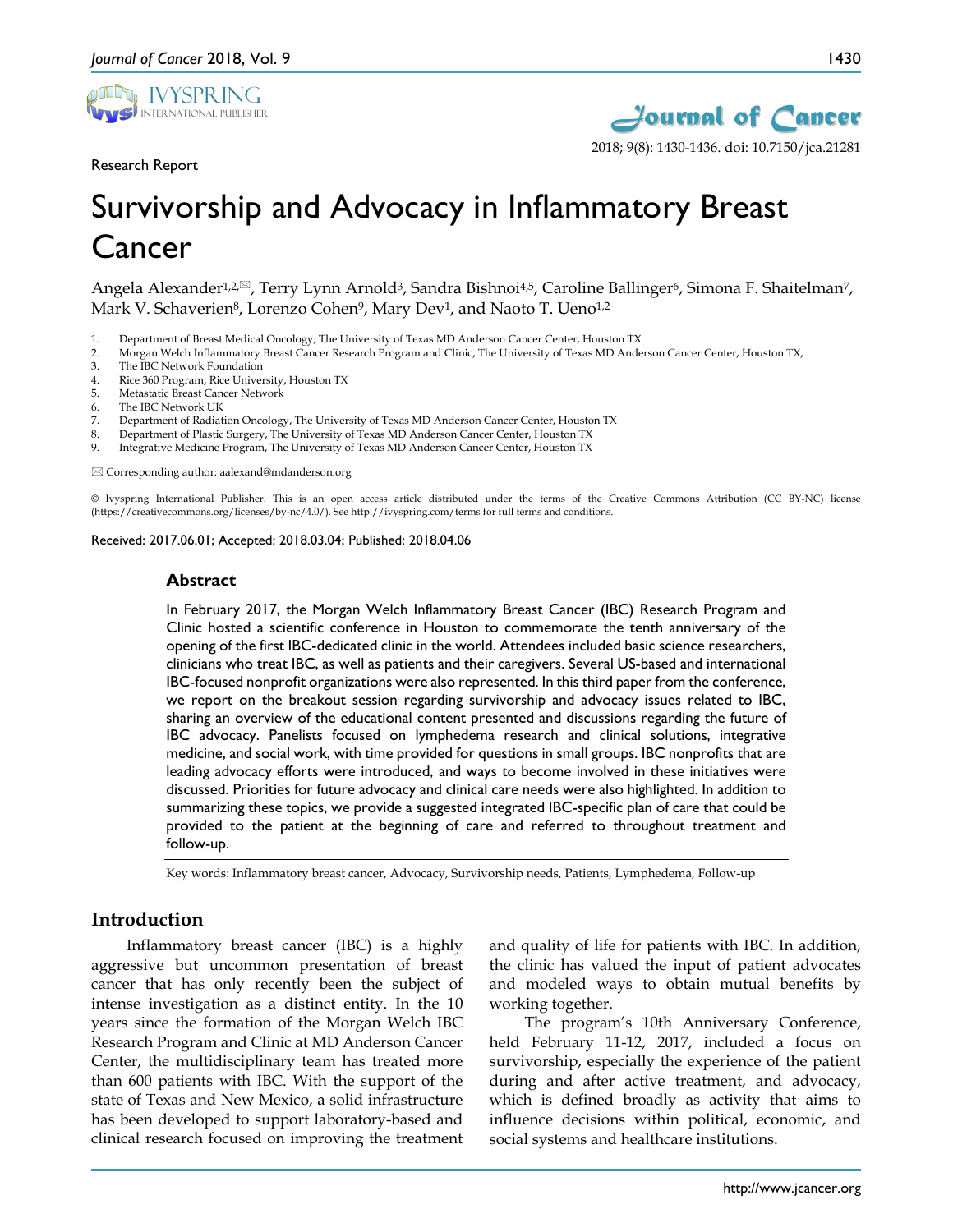

Research Report





2018; 9(8): 1430-1436. doi: 10.7150/jca.21281

# Survivorship and Advocacy in Inflammatory Breast Cancer

Angela Alexander<sup>1,2, $\boxtimes$ , Terry Lynn Arnold<sup>3</sup>, Sandra Bishnoi<sup>4,5</sup>, Caroline Ballinger<sup>6</sup>, Simona F. Shaitelman<sup>7</sup>,</sup> Mark V. Schaverien<sup>8</sup>, Lorenzo Cohen<sup>9</sup>, Mary Dev<sup>1</sup>, and Naoto T. Ueno<sup>1,2</sup>

- 1. Department of Breast Medical Oncology, The University of Texas MD Anderson Cancer Center, Houston TX<br>2. Morgan Welch Inflammatory Breast Cancer Research Program and Clinic. The University of Texas MD Ande
- 2. Morgan Welch Inflammatory Breast Cancer Research Program and Clinic, The University of Texas MD Anderson Cancer Center, Houston TX,
- 3. The IBC Network Foundation
- 4. Rice 360 Program, Rice University, Houston TX<br>5. Metastatic Breast Cancer Network
- 5. Metastatic Breast Cancer Network
- 6. The IBC Network UK
- 7. Department of Radiation Oncology, The University of Texas MD Anderson Cancer Center, Houston TX
- 8. Department of Plastic Surgery, The University of Texas MD Anderson Cancer Center, Houston TX
- 9. Integrative Medicine Program, The University of Texas MD Anderson Cancer Center, Houston TX

Corresponding author: aalexand@mdanderson.org

© Ivyspring International Publisher. This is an open access article distributed under the terms of the Creative Commons Attribution (CC BY-NC) license (https://creativecommons.org/licenses/by-nc/4.0/). See http://ivyspring.com/terms for full terms and conditions.

Received: 2017.06.01; Accepted: 2018.03.04; Published: 2018.04.06

#### **Abstract**

In February 2017, the Morgan Welch Inflammatory Breast Cancer (IBC) Research Program and Clinic hosted a scientific conference in Houston to commemorate the tenth anniversary of the opening of the first IBC-dedicated clinic in the world. Attendees included basic science researchers, clinicians who treat IBC, as well as patients and their caregivers. Several US-based and international IBC-focused nonprofit organizations were also represented. In this third paper from the conference, we report on the breakout session regarding survivorship and advocacy issues related to IBC, sharing an overview of the educational content presented and discussions regarding the future of IBC advocacy. Panelists focused on lymphedema research and clinical solutions, integrative medicine, and social work, with time provided for questions in small groups. IBC nonprofits that are leading advocacy efforts were introduced, and ways to become involved in these initiatives were discussed. Priorities for future advocacy and clinical care needs were also highlighted. In addition to summarizing these topics, we provide a suggested integrated IBC-specific plan of care that could be provided to the patient at the beginning of care and referred to throughout treatment and follow-up.

Key words: Inflammatory breast cancer, Advocacy, Survivorship needs, Patients, Lymphedema, Follow-up

### **Introduction**

Inflammatory breast cancer (IBC) is a highly aggressive but uncommon presentation of breast cancer that has only recently been the subject of intense investigation as a distinct entity. In the 10 years since the formation of the Morgan Welch IBC Research Program and Clinic at MD Anderson Cancer Center, the multidisciplinary team has treated more than 600 patients with IBC. With the support of the state of Texas and New Mexico, a solid infrastructure has been developed to support laboratory-based and clinical research focused on improving the treatment

and quality of life for patients with IBC. In addition, the clinic has valued the input of patient advocates and modeled ways to obtain mutual benefits by working together.

The program's 10th Anniversary Conference, held February 11-12, 2017, included a focus on survivorship, especially the experience of the patient during and after active treatment, and advocacy, which is defined broadly as activity that aims to influence decisions within political, economic, and social systems and healthcare institutions.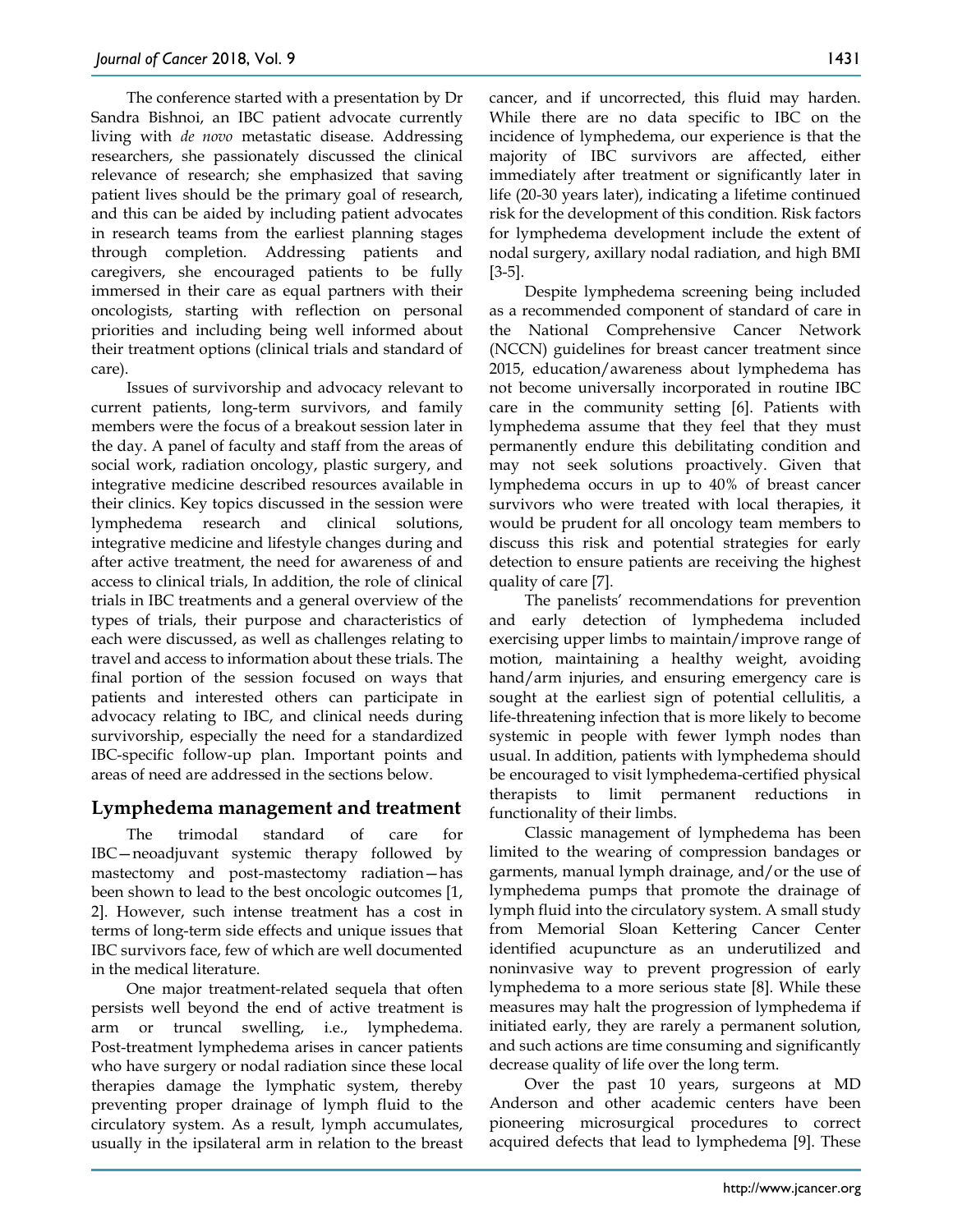The conference started with a presentation by Dr Sandra Bishnoi, an IBC patient advocate currently living with *de novo* metastatic disease. Addressing researchers, she passionately discussed the clinical relevance of research; she emphasized that saving patient lives should be the primary goal of research, and this can be aided by including patient advocates in research teams from the earliest planning stages through completion. Addressing patients and caregivers, she encouraged patients to be fully immersed in their care as equal partners with their oncologists, starting with reflection on personal priorities and including being well informed about their treatment options (clinical trials and standard of care).

Issues of survivorship and advocacy relevant to current patients, long-term survivors, and family members were the focus of a breakout session later in the day. A panel of faculty and staff from the areas of social work, radiation oncology, plastic surgery, and integrative medicine described resources available in their clinics. Key topics discussed in the session were lymphedema research and clinical solutions, integrative medicine and lifestyle changes during and after active treatment, the need for awareness of and access to clinical trials, In addition, the role of clinical trials in IBC treatments and a general overview of the types of trials, their purpose and characteristics of each were discussed, as well as challenges relating to travel and access to information about these trials. The final portion of the session focused on ways that patients and interested others can participate in advocacy relating to IBC, and clinical needs during survivorship, especially the need for a standardized IBC-specific follow-up plan. Important points and areas of need are addressed in the sections below.

## **Lymphedema management and treatment**

The trimodal standard of care for IBC—neoadjuvant systemic therapy followed by mastectomy and post-mastectomy radiation—has been shown to lead to the best oncologic outcomes [1, 2]. However, such intense treatment has a cost in terms of long-term side effects and unique issues that IBC survivors face, few of which are well documented in the medical literature.

One major treatment-related sequela that often persists well beyond the end of active treatment is arm or truncal swelling, i.e., lymphedema. Post-treatment lymphedema arises in cancer patients who have surgery or nodal radiation since these local therapies damage the lymphatic system, thereby preventing proper drainage of lymph fluid to the circulatory system. As a result, lymph accumulates, usually in the ipsilateral arm in relation to the breast

cancer, and if uncorrected, this fluid may harden. While there are no data specific to IBC on the incidence of lymphedema, our experience is that the majority of IBC survivors are affected, either immediately after treatment or significantly later in life (20-30 years later), indicating a lifetime continued risk for the development of this condition. Risk factors for lymphedema development include the extent of nodal surgery, axillary nodal radiation, and high BMI [3-5].

Despite lymphedema screening being included as a recommended component of standard of care in the National Comprehensive Cancer Network (NCCN) guidelines for breast cancer treatment since 2015, education/awareness about lymphedema has not become universally incorporated in routine IBC care in the community setting [6]. Patients with lymphedema assume that they feel that they must permanently endure this debilitating condition and may not seek solutions proactively. Given that lymphedema occurs in up to 40% of breast cancer survivors who were treated with local therapies, it would be prudent for all oncology team members to discuss this risk and potential strategies for early detection to ensure patients are receiving the highest quality of care [7].

The panelists' recommendations for prevention and early detection of lymphedema included exercising upper limbs to maintain/improve range of motion, maintaining a healthy weight, avoiding hand/arm injuries, and ensuring emergency care is sought at the earliest sign of potential cellulitis, a life-threatening infection that is more likely to become systemic in people with fewer lymph nodes than usual. In addition, patients with lymphedema should be encouraged to visit lymphedema-certified physical therapists to limit permanent reductions in functionality of their limbs.

Classic management of lymphedema has been limited to the wearing of compression bandages or garments, manual lymph drainage, and/or the use of lymphedema pumps that promote the drainage of lymph fluid into the circulatory system. A small study from Memorial Sloan Kettering Cancer Center identified acupuncture as an underutilized and noninvasive way to prevent progression of early lymphedema to a more serious state [8]. While these measures may halt the progression of lymphedema if initiated early, they are rarely a permanent solution, and such actions are time consuming and significantly decrease quality of life over the long term.

Over the past 10 years, surgeons at MD Anderson and other academic centers have been pioneering microsurgical procedures to correct acquired defects that lead to lymphedema [9]. These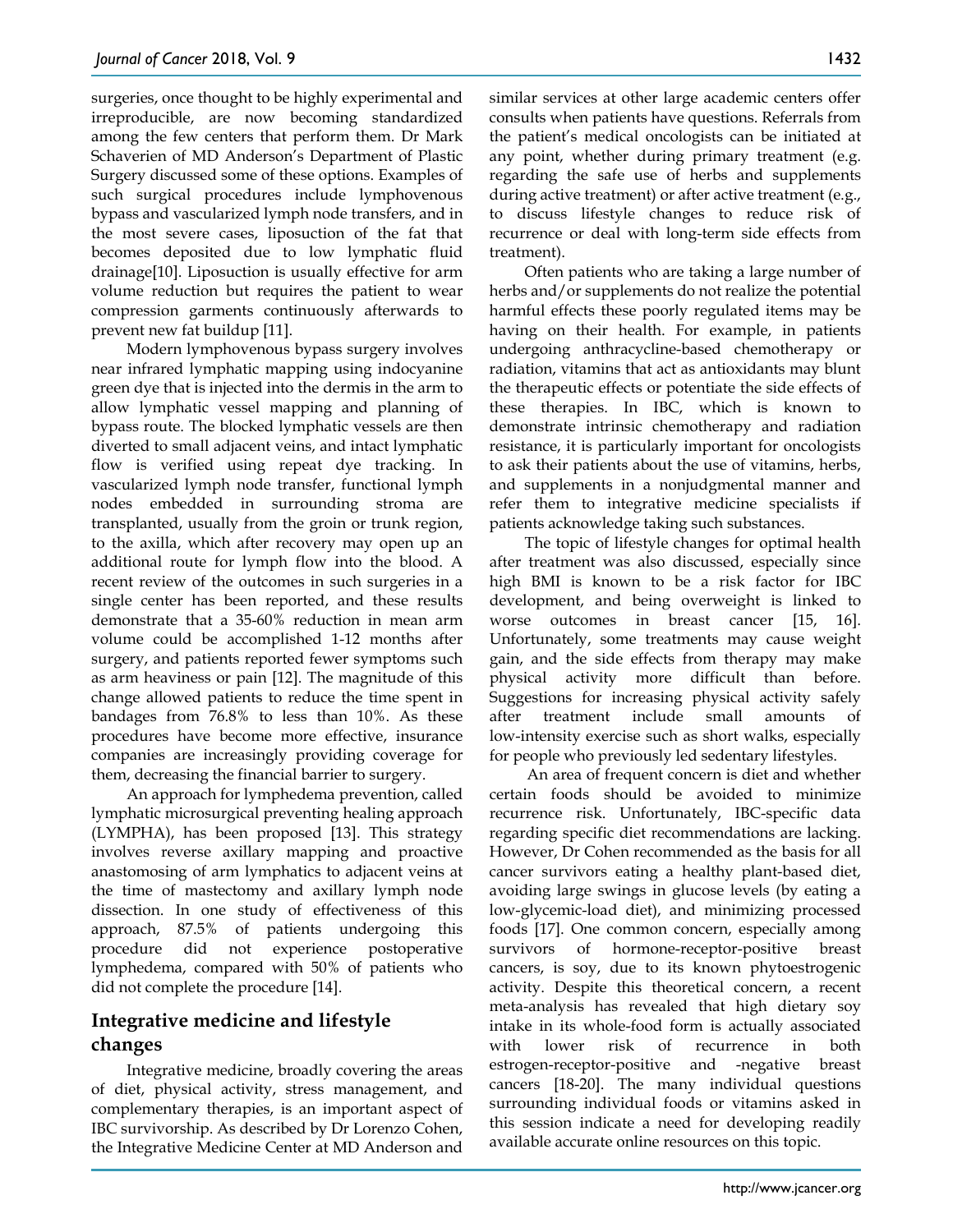surgeries, once thought to be highly experimental and irreproducible, are now becoming standardized among the few centers that perform them. Dr Mark Schaverien of MD Anderson's Department of Plastic Surgery discussed some of these options. Examples of such surgical procedures include lymphovenous bypass and vascularized lymph node transfers, and in the most severe cases, liposuction of the fat that becomes deposited due to low lymphatic fluid drainage[10]. Liposuction is usually effective for arm volume reduction but requires the patient to wear compression garments continuously afterwards to prevent new fat buildup [11].

Modern lymphovenous bypass surgery involves near infrared lymphatic mapping using indocyanine green dye that is injected into the dermis in the arm to allow lymphatic vessel mapping and planning of bypass route. The blocked lymphatic vessels are then diverted to small adjacent veins, and intact lymphatic flow is verified using repeat dye tracking. In vascularized lymph node transfer, functional lymph nodes embedded in surrounding stroma are transplanted, usually from the groin or trunk region, to the axilla, which after recovery may open up an additional route for lymph flow into the blood. A recent review of the outcomes in such surgeries in a single center has been reported, and these results demonstrate that a 35-60% reduction in mean arm volume could be accomplished 1-12 months after surgery, and patients reported fewer symptoms such as arm heaviness or pain [12]. The magnitude of this change allowed patients to reduce the time spent in bandages from 76.8% to less than 10%. As these procedures have become more effective, insurance companies are increasingly providing coverage for them, decreasing the financial barrier to surgery.

An approach for lymphedema prevention, called lymphatic microsurgical preventing healing approach (LYMPHA), has been proposed [13]. This strategy involves reverse axillary mapping and proactive anastomosing of arm lymphatics to adjacent veins at the time of mastectomy and axillary lymph node dissection. In one study of effectiveness of this approach, 87.5% of patients undergoing this procedure did not experience postoperative lymphedema, compared with 50% of patients who did not complete the procedure [14].

# **Integrative medicine and lifestyle changes**

Integrative medicine, broadly covering the areas of diet, physical activity, stress management, and complementary therapies, is an important aspect of IBC survivorship. As described by Dr Lorenzo Cohen, the Integrative Medicine Center at MD Anderson and

similar services at other large academic centers offer consults when patients have questions. Referrals from the patient's medical oncologists can be initiated at any point, whether during primary treatment (e.g. regarding the safe use of herbs and supplements during active treatment) or after active treatment (e.g., to discuss lifestyle changes to reduce risk of recurrence or deal with long-term side effects from treatment).

Often patients who are taking a large number of herbs and/or supplements do not realize the potential harmful effects these poorly regulated items may be having on their health. For example, in patients undergoing anthracycline-based chemotherapy or radiation, vitamins that act as antioxidants may blunt the therapeutic effects or potentiate the side effects of these therapies. In IBC, which is known to demonstrate intrinsic chemotherapy and radiation resistance, it is particularly important for oncologists to ask their patients about the use of vitamins, herbs, and supplements in a nonjudgmental manner and refer them to integrative medicine specialists if patients acknowledge taking such substances.

The topic of lifestyle changes for optimal health after treatment was also discussed, especially since high BMI is known to be a risk factor for IBC development, and being overweight is linked to worse outcomes in breast cancer [15, 16]. Unfortunately, some treatments may cause weight gain, and the side effects from therapy may make physical activity more difficult than before. Suggestions for increasing physical activity safely after treatment include small amounts of low-intensity exercise such as short walks, especially for people who previously led sedentary lifestyles.

An area of frequent concern is diet and whether certain foods should be avoided to minimize recurrence risk. Unfortunately, IBC-specific data regarding specific diet recommendations are lacking. However, Dr Cohen recommended as the basis for all cancer survivors eating a healthy plant-based diet, avoiding large swings in glucose levels (by eating a low-glycemic-load diet), and minimizing processed foods [17]. One common concern, especially among survivors of hormone-receptor-positive breast cancers, is soy, due to its known phytoestrogenic activity. Despite this theoretical concern, a recent meta-analysis has revealed that high dietary soy intake in its whole-food form is actually associated with lower risk of recurrence in both estrogen-receptor-positive and -negative breast cancers [18-20]. The many individual questions surrounding individual foods or vitamins asked in this session indicate a need for developing readily available accurate online resources on this topic.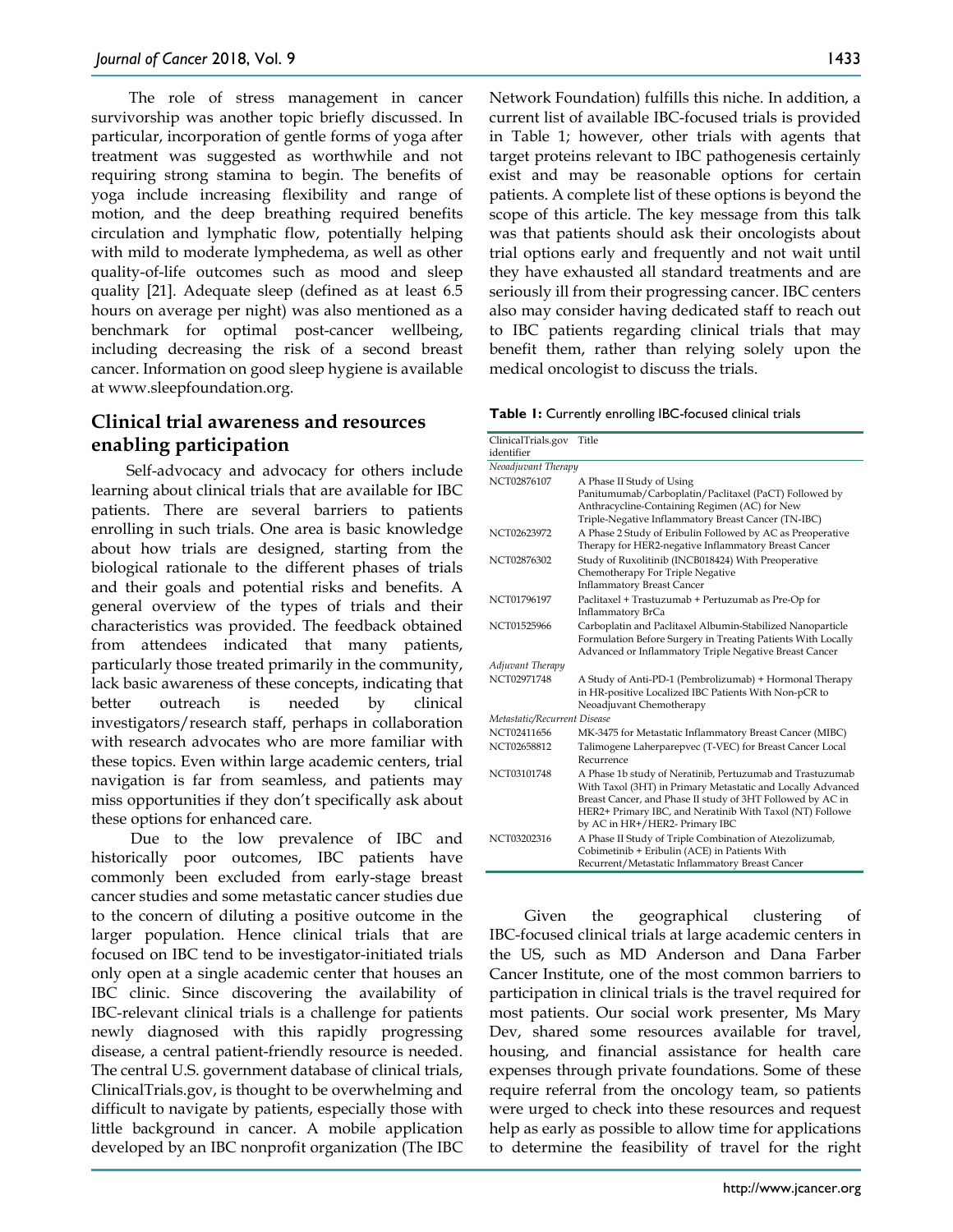The role of stress management in cancer survivorship was another topic briefly discussed. In particular, incorporation of gentle forms of yoga after treatment was suggested as worthwhile and not requiring strong stamina to begin. The benefits of yoga include increasing flexibility and range of motion, and the deep breathing required benefits circulation and lymphatic flow, potentially helping with mild to moderate lymphedema, as well as other quality-of-life outcomes such as mood and sleep quality [21]. Adequate sleep (defined as at least 6.5 hours on average per night) was also mentioned as a benchmark for optimal post-cancer wellbeing, including decreasing the risk of a second breast cancer. Information on good sleep hygiene is available at www.sleepfoundation.org.

## **Clinical trial awareness and resources enabling participation**

Self-advocacy and advocacy for others include learning about clinical trials that are available for IBC patients. There are several barriers to patients enrolling in such trials. One area is basic knowledge about how trials are designed, starting from the biological rationale to the different phases of trials and their goals and potential risks and benefits. A general overview of the types of trials and their characteristics was provided. The feedback obtained from attendees indicated that many patients, particularly those treated primarily in the community, lack basic awareness of these concepts, indicating that better outreach is needed by clinical investigators/research staff, perhaps in collaboration with research advocates who are more familiar with these topics. Even within large academic centers, trial navigation is far from seamless, and patients may miss opportunities if they don't specifically ask about these options for enhanced care.

Due to the low prevalence of IBC and historically poor outcomes, IBC patients have commonly been excluded from early-stage breast cancer studies and some metastatic cancer studies due to the concern of diluting a positive outcome in the larger population. Hence clinical trials that are focused on IBC tend to be investigator-initiated trials only open at a single academic center that houses an IBC clinic. Since discovering the availability of IBC-relevant clinical trials is a challenge for patients newly diagnosed with this rapidly progressing disease, a central patient-friendly resource is needed. The central U.S. government database of clinical trials, ClinicalTrials.gov, is thought to be overwhelming and difficult to navigate by patients, especially those with little background in cancer. A mobile application developed by an IBC nonprofit organization (The IBC

Network Foundation) fulfills this niche. In addition, a current list of available IBC-focused trials is provided in Table 1; however, other trials with agents that target proteins relevant to IBC pathogenesis certainly exist and may be reasonable options for certain patients. A complete list of these options is beyond the scope of this article. The key message from this talk was that patients should ask their oncologists about trial options early and frequently and not wait until they have exhausted all standard treatments and are seriously ill from their progressing cancer. IBC centers also may consider having dedicated staff to reach out to IBC patients regarding clinical trials that may benefit them, rather than relying solely upon the medical oncologist to discuss the trials.

|  |  |  | Table 1: Currently enrolling IBC-focused clinical trials |  |  |
|--|--|--|----------------------------------------------------------|--|--|
|--|--|--|----------------------------------------------------------|--|--|

| ClinicalTrials.gov           | Title                                                                                                              |
|------------------------------|--------------------------------------------------------------------------------------------------------------------|
| identifier                   |                                                                                                                    |
| Neoadjuvant Therapy          |                                                                                                                    |
| NCT02876107                  | A Phase II Study of Using                                                                                          |
|                              | Panitumumab/Carboplatin/Paclitaxel (PaCT) Followed by                                                              |
|                              | Anthracycline-Containing Regimen (AC) for New                                                                      |
|                              | Triple-Negative Inflammatory Breast Cancer (TN-IBC)                                                                |
| NCT02623972                  | A Phase 2 Study of Eribulin Followed by AC as Preoperative<br>Therapy for HER2-negative Inflammatory Breast Cancer |
| NCT02876302                  | Study of Ruxolitinib (INCB018424) With Preoperative                                                                |
|                              | Chemotherapy For Triple Negative                                                                                   |
|                              | <b>Inflammatory Breast Cancer</b>                                                                                  |
| NCT01796197                  | Paclitaxel + Trastuzumab + Pertuzumab as Pre-Op for                                                                |
|                              | Inflammatory BrCa                                                                                                  |
| NCT01525966                  | Carboplatin and Paclitaxel Albumin-Stabilized Nanoparticle                                                         |
|                              | Formulation Before Surgery in Treating Patients With Locally                                                       |
|                              | Advanced or Inflammatory Triple Negative Breast Cancer                                                             |
| Adjuvant Therapy             |                                                                                                                    |
| NCT02971748                  | A Study of Anti-PD-1 (Pembrolizumab) + Hormonal Therapy                                                            |
|                              | in HR-positive Localized IBC Patients With Non-pCR to                                                              |
|                              | Neoadjuvant Chemotherapy                                                                                           |
| Metastatic/Recurrent Disease |                                                                                                                    |
| NCT02411656                  | MK-3475 for Metastatic Inflammatory Breast Cancer (MIBC)                                                           |
| NCT02658812                  | Talimogene Laherparepvec (T-VEC) for Breast Cancer Local                                                           |
|                              | Recurrence                                                                                                         |
| NCT03101748                  | A Phase 1b study of Neratinib, Pertuzumab and Trastuzumab                                                          |
|                              | With Taxol (3HT) in Primary Metastatic and Locally Advanced                                                        |
|                              | Breast Cancer, and Phase II study of 3HT Followed by AC in                                                         |
|                              | HER2+ Primary IBC, and Neratinib With Taxol (NT) Followe                                                           |
|                              | by AC in HR+/HER2- Primary IBC                                                                                     |
| NCT03202316                  | A Phase II Study of Triple Combination of Atezolizumab,                                                            |
|                              | Cobimetinib + Eribulin (ACE) in Patients With                                                                      |
|                              | Recurrent/Metastatic Inflammatory Breast Cancer                                                                    |
|                              |                                                                                                                    |

Given the geographical clustering of IBC-focused clinical trials at large academic centers in the US, such as MD Anderson and Dana Farber Cancer Institute, one of the most common barriers to participation in clinical trials is the travel required for most patients. Our social work presenter, Ms Mary Dev, shared some resources available for travel, housing, and financial assistance for health care expenses through private foundations. Some of these require referral from the oncology team, so patients were urged to check into these resources and request help as early as possible to allow time for applications to determine the feasibility of travel for the right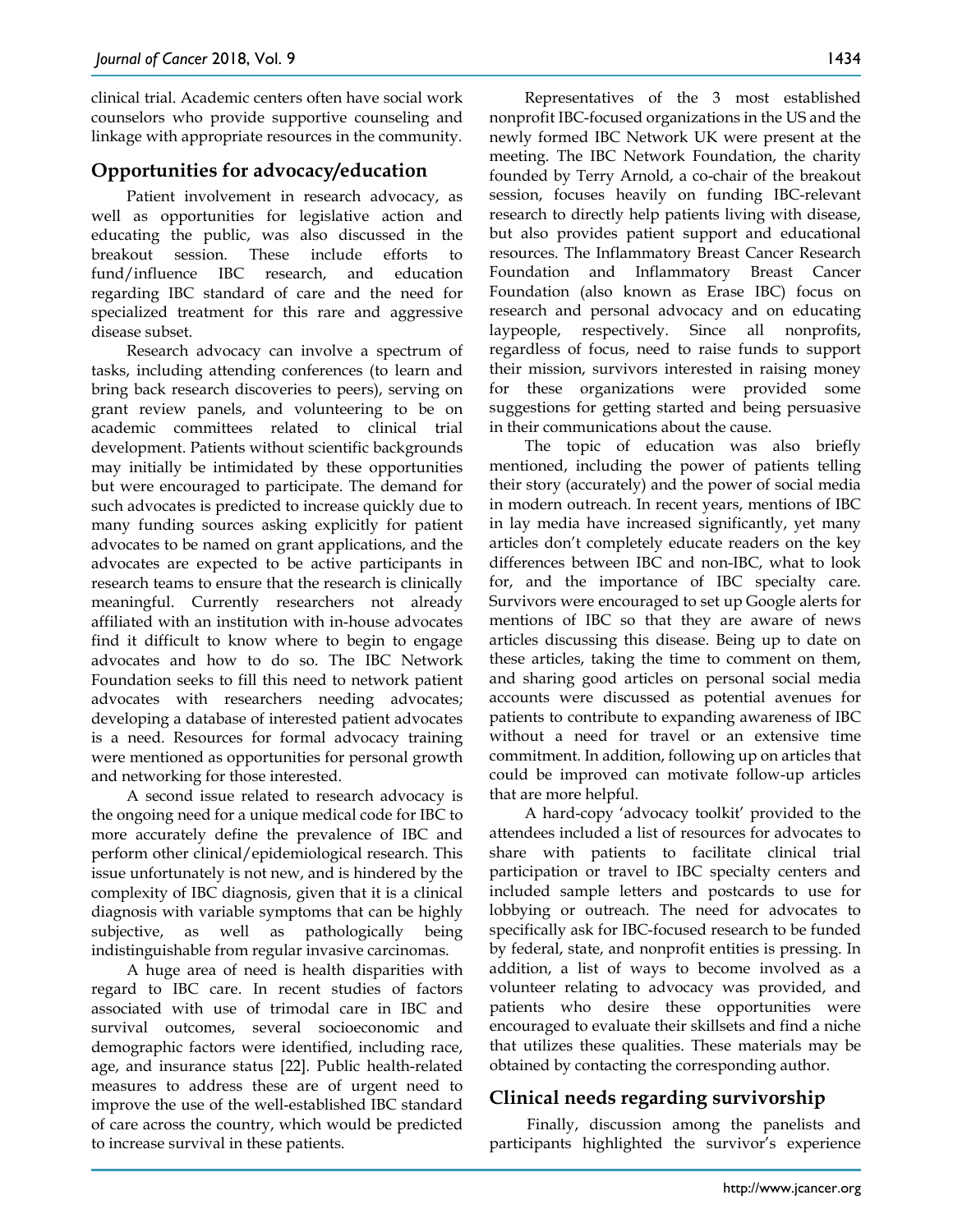clinical trial. Academic centers often have social work counselors who provide supportive counseling and linkage with appropriate resources in the community.

## **Opportunities for advocacy/education**

Patient involvement in research advocacy, as well as opportunities for legislative action and educating the public, was also discussed in the breakout session. These include efforts to fund/influence IBC research, and education regarding IBC standard of care and the need for specialized treatment for this rare and aggressive disease subset.

Research advocacy can involve a spectrum of tasks, including attending conferences (to learn and bring back research discoveries to peers), serving on grant review panels, and volunteering to be on academic committees related to clinical trial development. Patients without scientific backgrounds may initially be intimidated by these opportunities but were encouraged to participate. The demand for such advocates is predicted to increase quickly due to many funding sources asking explicitly for patient advocates to be named on grant applications, and the advocates are expected to be active participants in research teams to ensure that the research is clinically meaningful. Currently researchers not already affiliated with an institution with in-house advocates find it difficult to know where to begin to engage advocates and how to do so. The IBC Network Foundation seeks to fill this need to network patient advocates with researchers needing advocates; developing a database of interested patient advocates is a need. Resources for formal advocacy training were mentioned as opportunities for personal growth and networking for those interested.

A second issue related to research advocacy is the ongoing need for a unique medical code for IBC to more accurately define the prevalence of IBC and perform other clinical/epidemiological research. This issue unfortunately is not new, and is hindered by the complexity of IBC diagnosis, given that it is a clinical diagnosis with variable symptoms that can be highly subjective, as well as pathologically being indistinguishable from regular invasive carcinomas.

A huge area of need is health disparities with regard to IBC care. In recent studies of factors associated with use of trimodal care in IBC and survival outcomes, several socioeconomic and demographic factors were identified, including race, age, and insurance status [22]. Public health-related measures to address these are of urgent need to improve the use of the well-established IBC standard of care across the country, which would be predicted to increase survival in these patients.

Representatives of the 3 most established nonprofit IBC-focused organizations in the US and the newly formed IBC Network UK were present at the meeting. The IBC Network Foundation, the charity founded by Terry Arnold, a co-chair of the breakout session, focuses heavily on funding IBC-relevant research to directly help patients living with disease, but also provides patient support and educational resources. The Inflammatory Breast Cancer Research Foundation and Inflammatory Breast Cancer Foundation (also known as Erase IBC) focus on research and personal advocacy and on educating laypeople, respectively. Since all nonprofits, regardless of focus, need to raise funds to support their mission, survivors interested in raising money for these organizations were provided some suggestions for getting started and being persuasive in their communications about the cause.

The topic of education was also briefly mentioned, including the power of patients telling their story (accurately) and the power of social media in modern outreach. In recent years, mentions of IBC in lay media have increased significantly, yet many articles don't completely educate readers on the key differences between IBC and non-IBC, what to look for, and the importance of IBC specialty care. Survivors were encouraged to set up Google alerts for mentions of IBC so that they are aware of news articles discussing this disease. Being up to date on these articles, taking the time to comment on them, and sharing good articles on personal social media accounts were discussed as potential avenues for patients to contribute to expanding awareness of IBC without a need for travel or an extensive time commitment. In addition, following up on articles that could be improved can motivate follow-up articles that are more helpful.

A hard-copy 'advocacy toolkit' provided to the attendees included a list of resources for advocates to share with patients to facilitate clinical trial participation or travel to IBC specialty centers and included sample letters and postcards to use for lobbying or outreach. The need for advocates to specifically ask for IBC-focused research to be funded by federal, state, and nonprofit entities is pressing. In addition, a list of ways to become involved as a volunteer relating to advocacy was provided, and patients who desire these opportunities were encouraged to evaluate their skillsets and find a niche that utilizes these qualities. These materials may be obtained by contacting the corresponding author.

# **Clinical needs regarding survivorship**

Finally, discussion among the panelists and participants highlighted the survivor's experience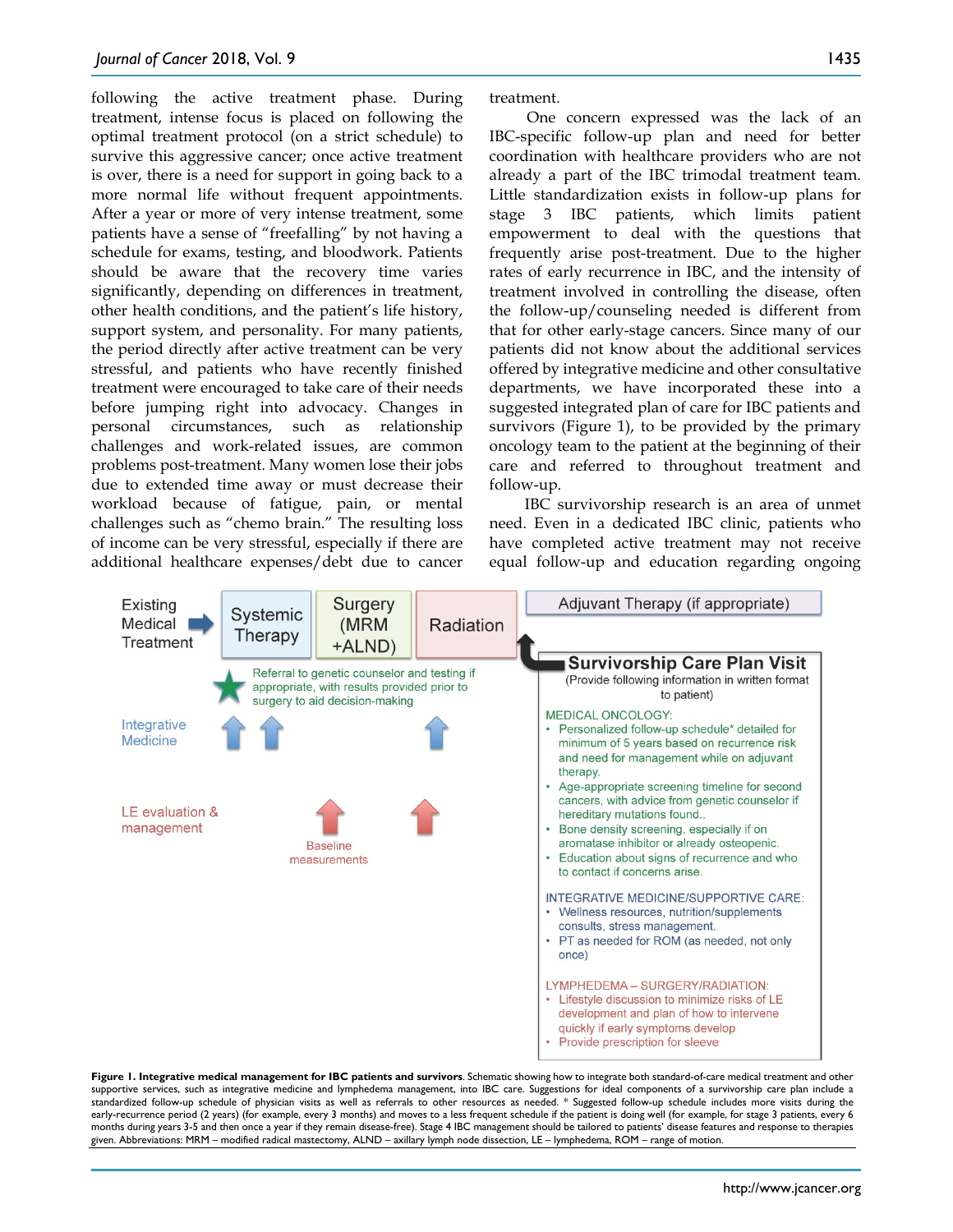following the active treatment phase. During treatment, intense focus is placed on following the optimal treatment protocol (on a strict schedule) to survive this aggressive cancer; once active treatment is over, there is a need for support in going back to a more normal life without frequent appointments. After a year or more of very intense treatment, some patients have a sense of "freefalling" by not having a schedule for exams, testing, and bloodwork. Patients should be aware that the recovery time varies significantly, depending on differences in treatment, other health conditions, and the patient's life history, support system, and personality. For many patients, the period directly after active treatment can be very stressful, and patients who have recently finished treatment were encouraged to take care of their needs before jumping right into advocacy. Changes in personal circumstances, such as relationship challenges and work-related issues, are common problems post-treatment. Many women lose their jobs due to extended time away or must decrease their workload because of fatigue, pain, or mental challenges such as "chemo brain." The resulting loss of income can be very stressful, especially if there are additional healthcare expenses/debt due to cancer

treatment.

One concern expressed was the lack of an IBC-specific follow-up plan and need for better coordination with healthcare providers who are not already a part of the IBC trimodal treatment team. Little standardization exists in follow-up plans for stage 3 IBC patients, which limits patient empowerment to deal with the questions that frequently arise post-treatment. Due to the higher rates of early recurrence in IBC, and the intensity of treatment involved in controlling the disease, often the follow-up/counseling needed is different from that for other early-stage cancers. Since many of our patients did not know about the additional services offered by integrative medicine and other consultative departments, we have incorporated these into a suggested integrated plan of care for IBC patients and survivors (Figure 1), to be provided by the primary oncology team to the patient at the beginning of their care and referred to throughout treatment and follow-up.

IBC survivorship research is an area of unmet need. Even in a dedicated IBC clinic, patients who have completed active treatment may not receive equal follow-up and education regarding ongoing



**Figure 1. Integrative medical management for IBC patients and survivors**. Schematic showing how to integrate both standard-of-care medical treatment and other supportive services, such as integrative medicine and lymphedema management, into IBC care. Suggestions for ideal components of a survivorship care plan include a standardized follow-up schedule of physician visits as well as referrals to other resources as needed. \* Suggested follow-up schedule includes more visits during the early-recurrence period (2 years) (for example, every 3 months) and moves to a less frequent schedule if the patient is doing well (for example, for stage 3 patients, every 6 months during years 3-5 and then once a year if they remain disease-free). Stage 4 IBC management should be tailored to patients' disease features and response to therapies given. Abbreviations: MRM – modified radical mastectomy, ALND – axillary lymph node dissection, LE – lymphedema, ROM – range of motion.